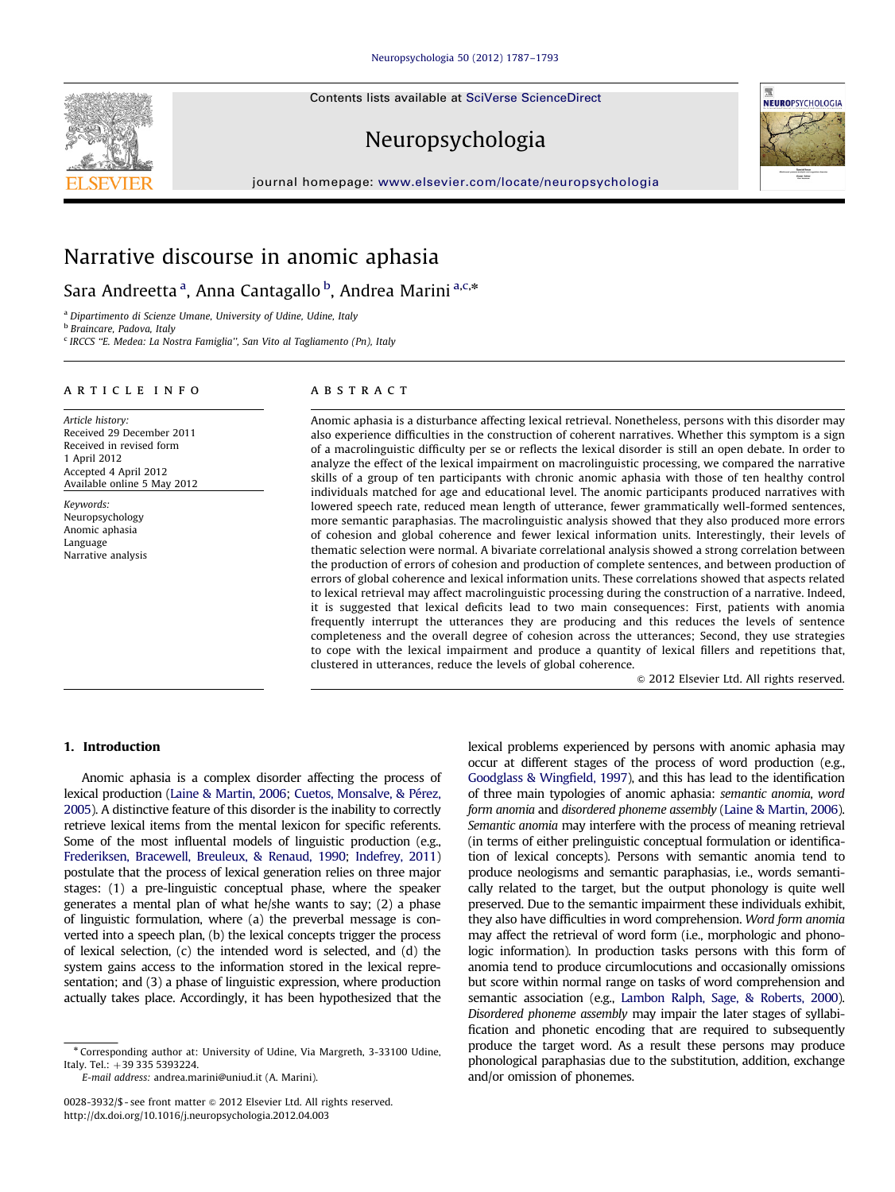Contents lists available at [SciVerse ScienceDirect](www.elsevier.com/locate/neuropsychologia)

## Neuropsychologia



journal homepage: <www.elsevier.com/locate/neuropsychologia>

## Narrative discourse in anomic aphasia

Sara Andreetta <sup>a</sup>, Anna Cantagallo <sup>b</sup>, Andrea Marini <sup>a,c,</sup>\*

<sup>a</sup> Dipartimento di Scienze Umane, University of Udine, Udine, Italy

**b** Braincare, Padova, Italy

<sup>c</sup> IRCCS ''E. Medea: La Nostra Famiglia'', San Vito al Tagliamento (Pn), Italy

### article info

Article history: Received 29 December 2011 Received in revised form 1 April 2012 Accepted 4 April 2012 Available online 5 May 2012

Keywords: Neuropsychology Anomic aphasia Language Narrative analysis

## ABSTRACT

Anomic aphasia is a disturbance affecting lexical retrieval. Nonetheless, persons with this disorder may also experience difficulties in the construction of coherent narratives. Whether this symptom is a sign of a macrolinguistic difficulty per se or reflects the lexical disorder is still an open debate. In order to analyze the effect of the lexical impairment on macrolinguistic processing, we compared the narrative skills of a group of ten participants with chronic anomic aphasia with those of ten healthy control individuals matched for age and educational level. The anomic participants produced narratives with lowered speech rate, reduced mean length of utterance, fewer grammatically well-formed sentences, more semantic paraphasias. The macrolinguistic analysis showed that they also produced more errors of cohesion and global coherence and fewer lexical information units. Interestingly, their levels of thematic selection were normal. A bivariate correlational analysis showed a strong correlation between the production of errors of cohesion and production of complete sentences, and between production of errors of global coherence and lexical information units. These correlations showed that aspects related to lexical retrieval may affect macrolinguistic processing during the construction of a narrative. Indeed, it is suggested that lexical deficits lead to two main consequences: First, patients with anomia frequently interrupt the utterances they are producing and this reduces the levels of sentence completeness and the overall degree of cohesion across the utterances; Second, they use strategies to cope with the lexical impairment and produce a quantity of lexical fillers and repetitions that, clustered in utterances, reduce the levels of global coherence.

 $\odot$  2012 Elsevier Ltd. All rights reserved.

### 1. Introduction

Anomic aphasia is a complex disorder affecting the process of lexical production [\(Laine](#page--1-0) & [Martin, 2006;](#page--1-0) Cuetos, Monsalve, & Pérez, [2005\)](#page--1-0). A distinctive feature of this disorder is the inability to correctly retrieve lexical items from the mental lexicon for specific referents. Some of the most influental models of linguistic production (e.g., [Frederiksen, Bracewell, Breuleux, & Renaud, 1990;](#page--1-0) [Indefrey, 2011\)](#page--1-0) postulate that the process of lexical generation relies on three major stages: (1) a pre-linguistic conceptual phase, where the speaker generates a mental plan of what he/she wants to say; (2) a phase of linguistic formulation, where (a) the preverbal message is converted into a speech plan, (b) the lexical concepts trigger the process of lexical selection, (c) the intended word is selected, and (d) the system gains access to the information stored in the lexical representation; and (3) a phase of linguistic expression, where production actually takes place. Accordingly, it has been hypothesized that the

E-mail address: [andrea.marini@uniud.it \(A. Marini\)](mailto:andrea.marini@uniud.it).

lexical problems experienced by persons with anomic aphasia may occur at different stages of the process of word production (e.g., [Goodglass & Wingfield, 1997\)](#page--1-0), and this has lead to the identification of three main typologies of anomic aphasia: semantic anomia, word form anomia and disordered phoneme assembly [\(Laine](#page--1-0) [& Martin, 2006\)](#page--1-0). Semantic anomia may interfere with the process of meaning retrieval (in terms of either prelinguistic conceptual formulation or identification of lexical concepts). Persons with semantic anomia tend to produce neologisms and semantic paraphasias, i.e., words semantically related to the target, but the output phonology is quite well preserved. Due to the semantic impairment these individuals exhibit, they also have difficulties in word comprehension. Word form anomia may affect the retrieval of word form (i.e., morphologic and phonologic information). In production tasks persons with this form of anomia tend to produce circumlocutions and occasionally omissions but score within normal range on tasks of word comprehension and semantic association (e.g., [Lambon Ralph, Sage,](#page--1-0) & [Roberts, 2000\)](#page--1-0). Disordered phoneme assembly may impair the later stages of syllabification and phonetic encoding that are required to subsequently produce the target word. As a result these persons may produce phonological paraphasias due to the substitution, addition, exchange and/or omission of phonemes.



<sup>n</sup> Corresponding author at: University of Udine, Via Margreth, 3-33100 Udine, Italy. Tel.:  $+39$  335 5393224.

<sup>0028-3932/\$ -</sup> see front matter @ 2012 Elsevier Ltd. All rights reserved. [http://dx.doi.org/10.1016/j.neuropsychologia.2012.04.003](dx.doi.org/10.1016/j.neuropsychologia.2012.04.003)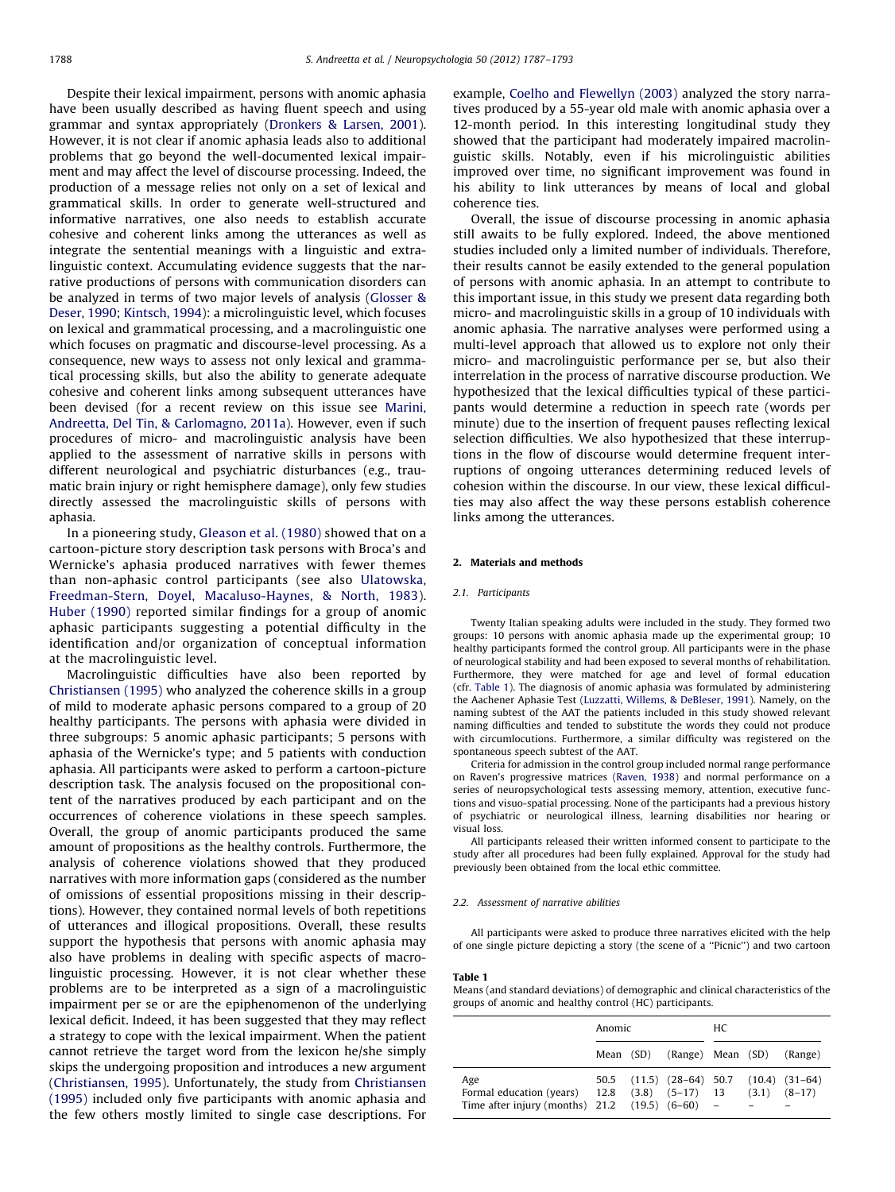Despite their lexical impairment, persons with anomic aphasia have been usually described as having fluent speech and using grammar and syntax appropriately [\(Dronkers & Larsen, 2001\)](#page--1-0). However, it is not clear if anomic aphasia leads also to additional problems that go beyond the well-documented lexical impairment and may affect the level of discourse processing. Indeed, the production of a message relies not only on a set of lexical and grammatical skills. In order to generate well-structured and informative narratives, one also needs to establish accurate cohesive and coherent links among the utterances as well as integrate the sentential meanings with a linguistic and extralinguistic context. Accumulating evidence suggests that the narrative productions of persons with communication disorders can be analyzed in terms of two major levels of analysis ([Glosser &](#page--1-0) [Deser, 1990](#page--1-0); [Kintsch, 1994](#page--1-0)): a microlinguistic level, which focuses on lexical and grammatical processing, and a macrolinguistic one which focuses on pragmatic and discourse-level processing. As a consequence, new ways to assess not only lexical and grammatical processing skills, but also the ability to generate adequate cohesive and coherent links among subsequent utterances have been devised (for a recent review on this issue see [Marini,](#page--1-0) [Andreetta, Del Tin, & Carlomagno, 2011a](#page--1-0)). However, even if such procedures of micro- and macrolinguistic analysis have been applied to the assessment of narrative skills in persons with different neurological and psychiatric disturbances (e.g., traumatic brain injury or right hemisphere damage), only few studies directly assessed the macrolinguistic skills of persons with aphasia.

In a pioneering study, [Gleason et al. \(1980\)](#page--1-0) showed that on a cartoon-picture story description task persons with Broca's and Wernicke's aphasia produced narratives with fewer themes than non-aphasic control participants (see also [Ulatowska,](#page--1-0) [Freedman-Stern, Doyel, Macaluso-Haynes, & North, 1983\)](#page--1-0). [Huber \(1990\)](#page--1-0) reported similar findings for a group of anomic aphasic participants suggesting a potential difficulty in the identification and/or organization of conceptual information at the macrolinguistic level.

Macrolinguistic difficulties have also been reported by [Christiansen \(1995\)](#page--1-0) who analyzed the coherence skills in a group of mild to moderate aphasic persons compared to a group of 20 healthy participants. The persons with aphasia were divided in three subgroups: 5 anomic aphasic participants; 5 persons with aphasia of the Wernicke's type; and 5 patients with conduction aphasia. All participants were asked to perform a cartoon-picture description task. The analysis focused on the propositional content of the narratives produced by each participant and on the occurrences of coherence violations in these speech samples. Overall, the group of anomic participants produced the same amount of propositions as the healthy controls. Furthermore, the analysis of coherence violations showed that they produced narratives with more information gaps (considered as the number of omissions of essential propositions missing in their descriptions). However, they contained normal levels of both repetitions of utterances and illogical propositions. Overall, these results support the hypothesis that persons with anomic aphasia may also have problems in dealing with specific aspects of macrolinguistic processing. However, it is not clear whether these problems are to be interpreted as a sign of a macrolinguistic impairment per se or are the epiphenomenon of the underlying lexical deficit. Indeed, it has been suggested that they may reflect a strategy to cope with the lexical impairment. When the patient cannot retrieve the target word from the lexicon he/she simply skips the undergoing proposition and introduces a new argument ([Christiansen, 1995\)](#page--1-0). Unfortunately, the study from [Christiansen](#page--1-0) [\(1995\)](#page--1-0) included only five participants with anomic aphasia and the few others mostly limited to single case descriptions. For example, [Coelho and Flewellyn \(2003\)](#page--1-0) analyzed the story narratives produced by a 55-year old male with anomic aphasia over a 12-month period. In this interesting longitudinal study they showed that the participant had moderately impaired macrolinguistic skills. Notably, even if his microlinguistic abilities improved over time, no significant improvement was found in his ability to link utterances by means of local and global coherence ties.

Overall, the issue of discourse processing in anomic aphasia still awaits to be fully explored. Indeed, the above mentioned studies included only a limited number of individuals. Therefore, their results cannot be easily extended to the general population of persons with anomic aphasia. In an attempt to contribute to this important issue, in this study we present data regarding both micro- and macrolinguistic skills in a group of 10 individuals with anomic aphasia. The narrative analyses were performed using a multi-level approach that allowed us to explore not only their micro- and macrolinguistic performance per se, but also their interrelation in the process of narrative discourse production. We hypothesized that the lexical difficulties typical of these participants would determine a reduction in speech rate (words per minute) due to the insertion of frequent pauses reflecting lexical selection difficulties. We also hypothesized that these interruptions in the flow of discourse would determine frequent interruptions of ongoing utterances determining reduced levels of cohesion within the discourse. In our view, these lexical difficulties may also affect the way these persons establish coherence links among the utterances.

#### 2. Materials and methods

#### 2.1. Participants

Twenty Italian speaking adults were included in the study. They formed two groups: 10 persons with anomic aphasia made up the experimental group; 10 healthy participants formed the control group. All participants were in the phase of neurological stability and had been exposed to several months of rehabilitation. Furthermore, they were matched for age and level of formal education (cfr. Table 1). The diagnosis of anomic aphasia was formulated by administering the Aachener Aphasie Test ([Luzzatti, Willems,](#page--1-0) & [DeBleser, 1991](#page--1-0)). Namely, on the naming subtest of the AAT the patients included in this study showed relevant naming difficulties and tended to substitute the words they could not produce with circumlocutions. Furthermore, a similar difficulty was registered on the spontaneous speech subtest of the AAT.

Criteria for admission in the control group included normal range performance on Raven's progressive matrices [\(Raven, 1938](#page--1-0)) and normal performance on a series of neuropsychological tests assessing memory, attention, executive functions and visuo-spatial processing. None of the participants had a previous history of psychiatric or neurological illness, learning disabilities nor hearing or visual loss.

All participants released their written informed consent to participate to the study after all procedures had been fully explained. Approval for the study had previously been obtained from the local ethic committee.

#### 2.2. Assessment of narrative abilities

All participants were asked to produce three narratives elicited with the help of one single picture depicting a story (the scene of a ''Picnic'') and two cartoon

#### Table 1

Means (and standard deviations) of demographic and clinical characteristics of the groups of anomic and healthy control (HC) participants.

|                                                                                                                        | Anomic |  |                                         | HC. |  |         |
|------------------------------------------------------------------------------------------------------------------------|--------|--|-----------------------------------------|-----|--|---------|
|                                                                                                                        |        |  | Mean (SD) (Range) Mean (SD)             |     |  | (Range) |
| Age<br>Formal education (years) 12.8 (3.8) (5-17) 13 (3.1) (8-17)<br>Time after injury (months) $21.2$ (19.5) (6–60) – |        |  | 50.5 (11.5) (28-64) 50.7 (10.4) (31-64) |     |  |         |